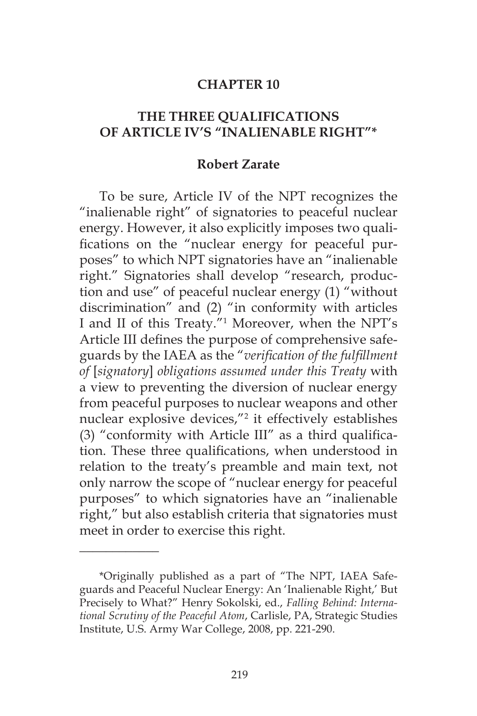### **CHAPTER 10**

### **THE THREE QUALIFICATIONS OF ARTICLE IV'S "INALIENABLE RIGHT"\***

#### **Robert Zarate**

To be sure, Article IV of the NPT recognizes the "inalienable right" of signatories to peaceful nuclear energy. However, it also explicitly imposes two qualifications on the "nuclear energy for peaceful purposes" to which NPT signatories have an "inalienable right." Signatories shall develop "research, production and use" of peaceful nuclear energy (1) "without discrimination" and (2) "in conformity with articles I and II of this Treaty."1 Moreover, when the NPT's Article III defines the purpose of comprehensive safeguards by the IAEA as the "*verification of the fulfillment of* [*signatory*] *obligations assumed under this Treaty* with a view to preventing the diversion of nuclear energy from peaceful purposes to nuclear weapons and other nuclear explosive devices,"<sup>2</sup> it effectively establishes (3) "conformity with Article III" as a third qualification. These three qualifications, when understood in relation to the treaty's preamble and main text, not only narrow the scope of "nuclear energy for peaceful purposes" to which signatories have an "inalienable right," but also establish criteria that signatories must meet in order to exercise this right.

 $\overline{\phantom{a}}$ 

<sup>\*</sup>Originally published as a part of "The NPT, IAEA Safeguards and Peaceful Nuclear Energy: An 'Inalienable Right,' But Precisely to What?" Henry Sokolski, ed., *Falling Behind: International Scrutiny of the Peaceful Atom*, Carlisle, PA, Strategic Studies Institute, U.S. Army War College, 2008, pp. 221-290.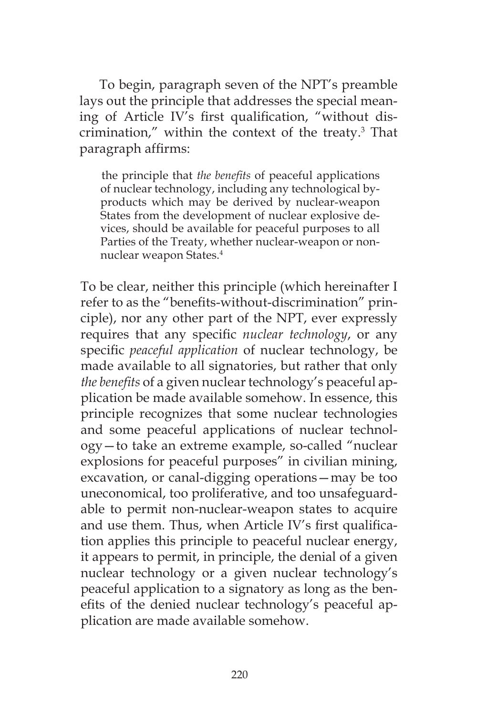To begin, paragraph seven of the NPT's preamble lays out the principle that addresses the special meaning of Article IV's first qualification, "without discrimination," within the context of the treaty.3 That paragraph affirms:

the principle that *the benefits* of peaceful applications of nuclear technology, including any technological byproducts which may be derived by nuclear-weapon States from the development of nuclear explosive devices, should be available for peaceful purposes to all Parties of the Treaty, whether nuclear-weapon or nonnuclear weapon States.4

To be clear, neither this principle (which hereinafter I refer to as the "benefits-without-discrimination" principle), nor any other part of the NPT, ever expressly requires that any specific *nuclear technology*, or any specific *peaceful application* of nuclear technology, be made available to all signatories, but rather that only *the benefits* of a given nuclear technology's peaceful application be made available somehow. In essence, this principle recognizes that some nuclear technologies and some peaceful applications of nuclear technology—to take an extreme example, so-called "nuclear explosions for peaceful purposes" in civilian mining, excavation, or canal-digging operations—may be too uneconomical, too proliferative, and too unsafeguardable to permit non-nuclear-weapon states to acquire and use them. Thus, when Article IV's first qualification applies this principle to peaceful nuclear energy, it appears to permit, in principle, the denial of a given nuclear technology or a given nuclear technology's peaceful application to a signatory as long as the benefits of the denied nuclear technology's peaceful application are made available somehow.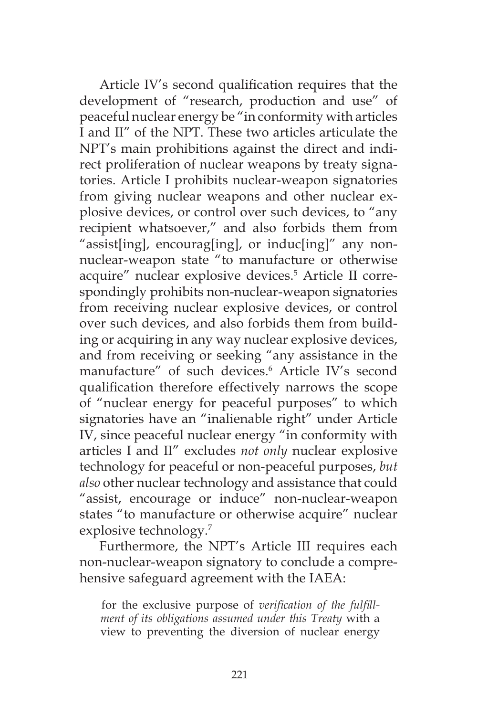Article IV's second qualification requires that the development of "research, production and use" of peaceful nuclear energy be "in conformity with articles I and II" of the NPT. These two articles articulate the NPT's main prohibitions against the direct and indirect proliferation of nuclear weapons by treaty signatories. Article I prohibits nuclear-weapon signatories from giving nuclear weapons and other nuclear explosive devices, or control over such devices, to "any recipient whatsoever," and also forbids them from "assist[ing], encourag[ing], or induc[ing]" any nonnuclear-weapon state "to manufacture or otherwise acquire" nuclear explosive devices.<sup>5</sup> Article II correspondingly prohibits non-nuclear-weapon signatories from receiving nuclear explosive devices, or control over such devices, and also forbids them from building or acquiring in any way nuclear explosive devices, and from receiving or seeking "any assistance in the manufacture" of such devices.<sup>6</sup> Article IV's second qualification therefore effectively narrows the scope of "nuclear energy for peaceful purposes" to which signatories have an "inalienable right" under Article IV, since peaceful nuclear energy "in conformity with articles I and II" excludes *not only* nuclear explosive technology for peaceful or non-peaceful purposes, *but also* other nuclear technology and assistance that could "assist, encourage or induce" non-nuclear-weapon states "to manufacture or otherwise acquire" nuclear explosive technology.<sup>7</sup>

Furthermore, the NPT's Article III requires each non-nuclear-weapon signatory to conclude a comprehensive safeguard agreement with the IAEA:

for the exclusive purpose of *verification of the fulfillment of its obligations assumed under this Treaty* with a view to preventing the diversion of nuclear energy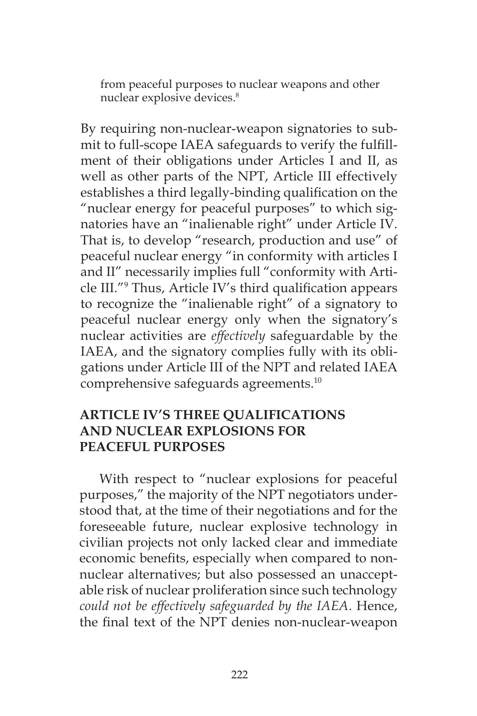from peaceful purposes to nuclear weapons and other nuclear explosive devices.<sup>8</sup>

By requiring non-nuclear-weapon signatories to submit to full-scope IAEA safeguards to verify the fulfillment of their obligations under Articles I and II, as well as other parts of the NPT, Article III effectively establishes a third legally-binding qualification on the "nuclear energy for peaceful purposes" to which signatories have an "inalienable right" under Article IV. That is, to develop "research, production and use" of peaceful nuclear energy "in conformity with articles I and II" necessarily implies full "conformity with Article III."9 Thus, Article IV's third qualification appears to recognize the "inalienable right" of a signatory to peaceful nuclear energy only when the signatory's nuclear activities are *effectively* safeguardable by the IAEA, and the signatory complies fully with its obligations under Article III of the NPT and related IAEA comprehensive safeguards agreements.10

## **ARTICLE IV'S THREE QUALIFICATIONS AND NUCLEAR EXPLOSIONS FOR PEACEFUL PURPOSES**

With respect to "nuclear explosions for peaceful purposes," the majority of the NPT negotiators understood that, at the time of their negotiations and for the foreseeable future, nuclear explosive technology in civilian projects not only lacked clear and immediate economic benefits, especially when compared to nonnuclear alternatives; but also possessed an unacceptable risk of nuclear proliferation since such technology *could not be effectively safeguarded by the IAEA*. Hence, the final text of the NPT denies non-nuclear-weapon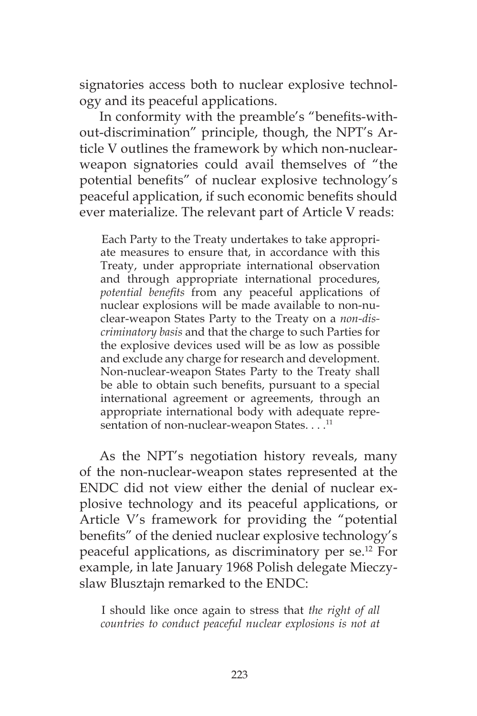signatories access both to nuclear explosive technology and its peaceful applications.

In conformity with the preamble's "benefits-without-discrimination" principle, though, the NPT's Article V outlines the framework by which non-nuclearweapon signatories could avail themselves of "the potential benefits" of nuclear explosive technology's peaceful application, if such economic benefits should ever materialize. The relevant part of Article V reads:

Each Party to the Treaty undertakes to take appropriate measures to ensure that, in accordance with this Treaty, under appropriate international observation and through appropriate international procedures, *potential benefits* from any peaceful applications of nuclear explosions will be made available to non-nuclear-weapon States Party to the Treaty on a *non-discriminatory basis* and that the charge to such Parties for the explosive devices used will be as low as possible and exclude any charge for research and development. Non-nuclear-weapon States Party to the Treaty shall be able to obtain such benefits, pursuant to a special international agreement or agreements, through an appropriate international body with adequate representation of non-nuclear-weapon States. . . .<sup>11</sup>

As the NPT's negotiation history reveals, many of the non-nuclear-weapon states represented at the ENDC did not view either the denial of nuclear explosive technology and its peaceful applications, or Article V's framework for providing the "potential benefits" of the denied nuclear explosive technology's peaceful applications, as discriminatory per se.12 For example, in late January 1968 Polish delegate Mieczyslaw Blusztajn remarked to the ENDC:

I should like once again to stress that *the right of all countries to conduct peaceful nuclear explosions is not at*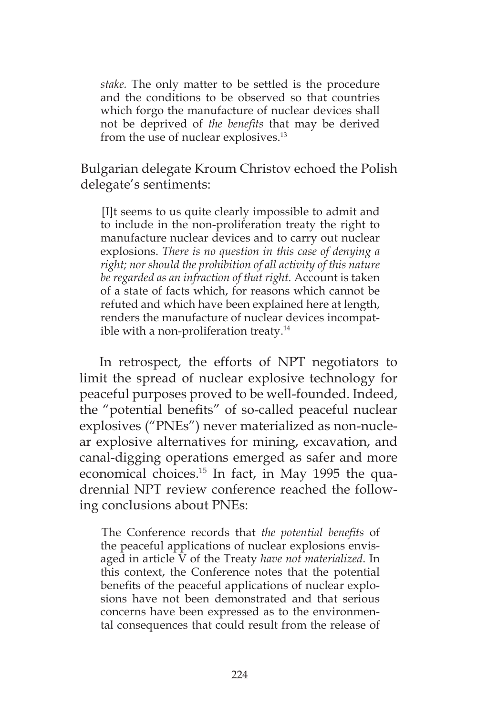*stake.* The only matter to be settled is the procedure and the conditions to be observed so that countries which forgo the manufacture of nuclear devices shall not be deprived of *the benefits* that may be derived from the use of nuclear explosives.<sup>13</sup>

Bulgarian delegate Kroum Christov echoed the Polish delegate's sentiments:

[I]t seems to us quite clearly impossible to admit and to include in the non-proliferation treaty the right to manufacture nuclear devices and to carry out nuclear explosions. *There is no question in this case of denying a right; nor should the prohibition of all activity of this nature be regarded as an infraction of that right.* Account is taken of a state of facts which, for reasons which cannot be refuted and which have been explained here at length, renders the manufacture of nuclear devices incompatible with a non-proliferation treaty. $14$ 

In retrospect, the efforts of NPT negotiators to limit the spread of nuclear explosive technology for peaceful purposes proved to be well-founded. Indeed, the "potential benefits" of so-called peaceful nuclear explosives ("PNEs") never materialized as non-nuclear explosive alternatives for mining, excavation, and canal-digging operations emerged as safer and more economical choices.15 In fact, in May 1995 the quadrennial NPT review conference reached the following conclusions about PNEs:

The Conference records that *the potential benefits* of the peaceful applications of nuclear explosions envisaged in article V of the Treaty *have not materialized*. In this context, the Conference notes that the potential benefits of the peaceful applications of nuclear explosions have not been demonstrated and that serious concerns have been expressed as to the environmental consequences that could result from the release of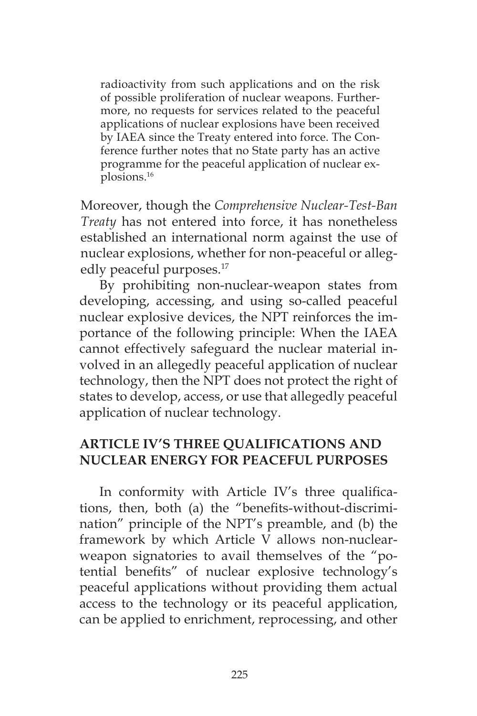radioactivity from such applications and on the risk of possible proliferation of nuclear weapons. Furthermore, no requests for services related to the peaceful applications of nuclear explosions have been received by IAEA since the Treaty entered into force. The Conference further notes that no State party has an active programme for the peaceful application of nuclear explosions.16

Moreover, though the *Comprehensive Nuclear-Test-Ban Treaty* has not entered into force, it has nonetheless established an international norm against the use of nuclear explosions, whether for non-peaceful or allegedly peaceful purposes.<sup>17</sup>

By prohibiting non-nuclear-weapon states from developing, accessing, and using so-called peaceful nuclear explosive devices, the NPT reinforces the importance of the following principle: When the IAEA cannot effectively safeguard the nuclear material involved in an allegedly peaceful application of nuclear technology, then the NPT does not protect the right of states to develop, access, or use that allegedly peaceful application of nuclear technology.

# **ARTICLE IV'S THREE QUALIFICATIONS AND NUCLEAR ENERGY FOR PEACEFUL PURPOSES**

In conformity with Article IV's three qualifications, then, both (a) the "benefits-without-discrimination" principle of the NPT's preamble, and (b) the framework by which Article V allows non-nuclearweapon signatories to avail themselves of the "potential benefits" of nuclear explosive technology's peaceful applications without providing them actual access to the technology or its peaceful application, can be applied to enrichment, reprocessing, and other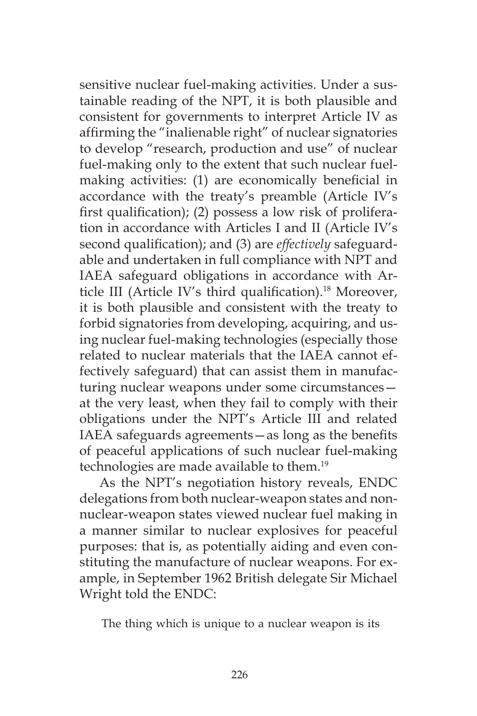sensitive nuclear fuel-making activities. Under a sustainable reading of the NPT, it is both plausible and consistent for governments to interpret Article IV as affirming the "inalienable right" of nuclear signatories to develop "research, production and use" of nuclear fuel-making only to the extent that such nuclear fuelmaking activities: (1) are economically beneficial in accordance with the treaty's preamble (Article IV's first qualification); (2) possess a low risk of proliferation in accordance with Articles I and II (Article IV's second qualification); and (3) are *effectively* safeguardable and undertaken in full compliance with NPT and IAEA safeguard obligations in accordance with Article III (Article IV's third qualification).<sup>18</sup> Moreover, it is both plausible and consistent with the treaty to forbid signatories from developing, acquiring, and using nuclear fuel-making technologies (especially those related to nuclear materials that the IAEA cannot effectively safeguard) that can assist them in manufacturing nuclear weapons under some circumstances at the very least, when they fail to comply with their obligations under the NPT's Article III and related IAEA safeguards agreements—as long as the benefits of peaceful applications of such nuclear fuel-making technologies are made available to them.<sup>19</sup>

As the NPT's negotiation history reveals, ENDC delegations from both nuclear-weapon states and nonnuclear-weapon states viewed nuclear fuel making in a manner similar to nuclear explosives for peaceful purposes: that is, as potentially aiding and even constituting the manufacture of nuclear weapons. For example, in September 1962 British delegate Sir Michael Wright told the ENDC:

The thing which is unique to a nuclear weapon is its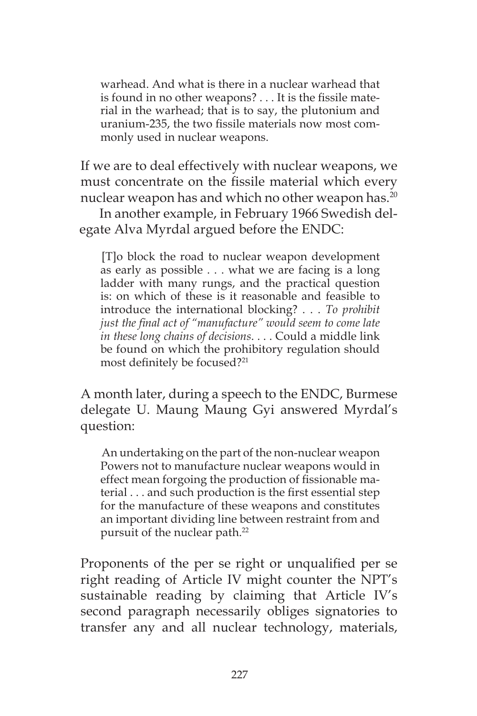warhead. And what is there in a nuclear warhead that is found in no other weapons? . . . It is the fissile material in the warhead; that is to say, the plutonium and uranium-235, the two fissile materials now most commonly used in nuclear weapons.

If we are to deal effectively with nuclear weapons, we must concentrate on the fissile material which every nuclear weapon has and which no other weapon has.<sup>20</sup>

In another example, in February 1966 Swedish delegate Alva Myrdal argued before the ENDC:

[T]o block the road to nuclear weapon development as early as possible . . . what we are facing is a long ladder with many rungs, and the practical question is: on which of these is it reasonable and feasible to introduce the international blocking? . . . *To prohibit just the final act of "manufacture" would seem to come late in these long chains of decisions*. . . . Could a middle link be found on which the prohibitory regulation should most definitely be focused?21

A month later, during a speech to the ENDC, Burmese delegate U. Maung Maung Gyi answered Myrdal's question:

An undertaking on the part of the non-nuclear weapon Powers not to manufacture nuclear weapons would in effect mean forgoing the production of fissionable material . . . and such production is the first essential step for the manufacture of these weapons and constitutes an important dividing line between restraint from and pursuit of the nuclear path.<sup>22</sup>

Proponents of the per se right or unqualified per se right reading of Article IV might counter the NPT's sustainable reading by claiming that Article IV's second paragraph necessarily obliges signatories to transfer any and all nuclear technology, materials,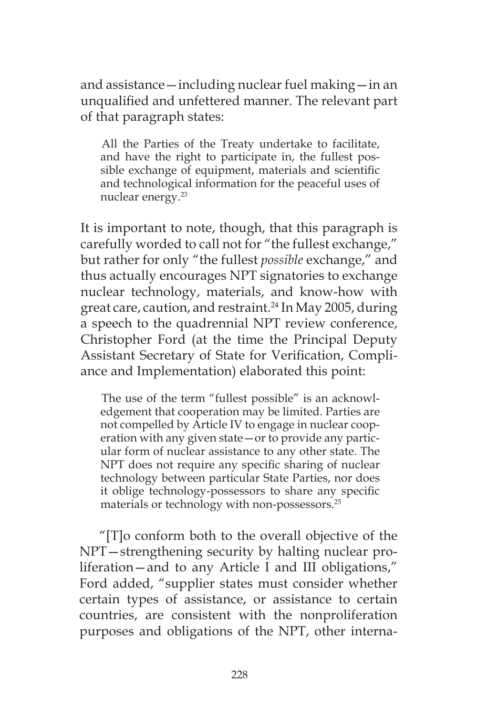and assistance—including nuclear fuel making—in an unqualified and unfettered manner. The relevant part of that paragraph states:

All the Parties of the Treaty undertake to facilitate, and have the right to participate in, the fullest possible exchange of equipment, materials and scientific and technological information for the peaceful uses of nuclear energy.<sup>23</sup>

It is important to note, though, that this paragraph is carefully worded to call not for "the fullest exchange," but rather for only "the fullest *possible* exchange," and thus actually encourages NPT signatories to exchange nuclear technology, materials, and know-how with great care, caution, and restraint.24 In May 2005, during a speech to the quadrennial NPT review conference, Christopher Ford (at the time the Principal Deputy Assistant Secretary of State for Verification, Compliance and Implementation) elaborated this point:

The use of the term "fullest possible" is an acknowledgement that cooperation may be limited. Parties are not compelled by Article IV to engage in nuclear cooperation with any given state—or to provide any particular form of nuclear assistance to any other state. The NPT does not require any specific sharing of nuclear technology between particular State Parties, nor does it oblige technology-possessors to share any specific materials or technology with non-possessors.25

"[T]o conform both to the overall objective of the NPT—strengthening security by halting nuclear proliferation—and to any Article I and III obligations," Ford added, "supplier states must consider whether certain types of assistance, or assistance to certain countries, are consistent with the nonproliferation purposes and obligations of the NPT, other interna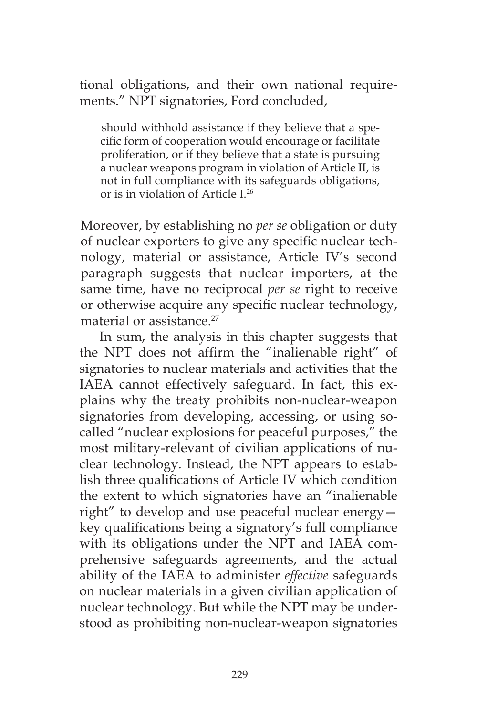tional obligations, and their own national requirements." NPT signatories, Ford concluded,

should withhold assistance if they believe that a specific form of cooperation would encourage or facilitate proliferation, or if they believe that a state is pursuing a nuclear weapons program in violation of Article II, is not in full compliance with its safeguards obligations, or is in violation of Article I.26

Moreover, by establishing no *per se* obligation or duty of nuclear exporters to give any specific nuclear technology, material or assistance, Article IV's second paragraph suggests that nuclear importers, at the same time, have no reciprocal *per se* right to receive or otherwise acquire any specific nuclear technology, material or assistance<sup>27</sup>

In sum, the analysis in this chapter suggests that the NPT does not affirm the "inalienable right" of signatories to nuclear materials and activities that the IAEA cannot effectively safeguard. In fact, this explains why the treaty prohibits non-nuclear-weapon signatories from developing, accessing, or using socalled "nuclear explosions for peaceful purposes," the most military-relevant of civilian applications of nuclear technology. Instead, the NPT appears to establish three qualifications of Article IV which condition the extent to which signatories have an "inalienable right" to develop and use peaceful nuclear energy key qualifications being a signatory's full compliance with its obligations under the NPT and IAEA comprehensive safeguards agreements, and the actual ability of the IAEA to administer *effective* safeguards on nuclear materials in a given civilian application of nuclear technology. But while the NPT may be understood as prohibiting non-nuclear-weapon signatories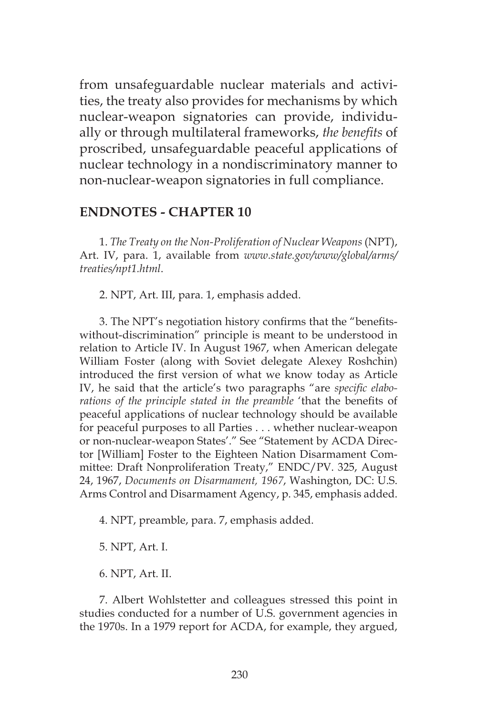from unsafeguardable nuclear materials and activities, the treaty also provides for mechanisms by which nuclear-weapon signatories can provide, individually or through multilateral frameworks, *the benefits* of proscribed, unsafeguardable peaceful applications of nuclear technology in a nondiscriminatory manner to non-nuclear-weapon signatories in full compliance.

#### **ENDNOTES - CHAPTER 10**

1. *The Treaty on the Non-Proliferation of Nuclear Weapons* (NPT), Art. IV, para. 1, available from *www.state.gov/www/global/arms/ treaties/npt1.html*.

2. NPT, Art. III, para. 1, emphasis added.

3. The NPT's negotiation history confirms that the "benefitswithout-discrimination" principle is meant to be understood in relation to Article IV. In August 1967, when American delegate William Foster (along with Soviet delegate Alexey Roshchin) introduced the first version of what we know today as Article IV, he said that the article's two paragraphs "are *specific elaborations of the principle stated in the preamble* 'that the benefits of peaceful applications of nuclear technology should be available for peaceful purposes to all Parties . . . whether nuclear-weapon or non-nuclear-weapon States'." See "Statement by ACDA Director [William] Foster to the Eighteen Nation Disarmament Committee: Draft Nonproliferation Treaty," ENDC/PV. 325, August 24, 1967, *Documents on Disarmament, 1967*, Washington, DC: U.S. Arms Control and Disarmament Agency, p. 345, emphasis added.

4. NPT, preamble, para. 7, emphasis added.

5. NPT, Art. I.

6. NPT, Art. II.

7. Albert Wohlstetter and colleagues stressed this point in studies conducted for a number of U.S. government agencies in the 1970s. In a 1979 report for ACDA, for example, they argued,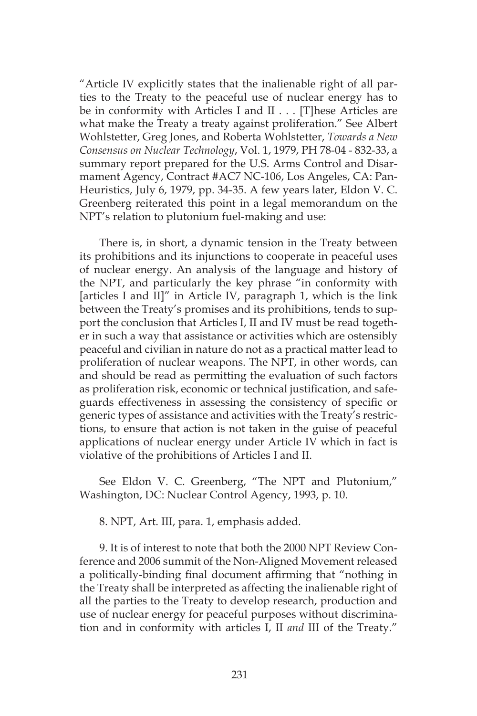"Article IV explicitly states that the inalienable right of all parties to the Treaty to the peaceful use of nuclear energy has to be in conformity with Articles I and II . . . [T]hese Articles are what make the Treaty a treaty against proliferation." See Albert Wohlstetter, Greg Jones, and Roberta Wohlstetter, *Towards a New Consensus on Nuclear Technology*, Vol. 1, 1979, PH 78-04 - 832-33, a summary report prepared for the U.S. Arms Control and Disarmament Agency, Contract #AC7 NC-106, Los Angeles, CA: Pan-Heuristics, July 6, 1979, pp. 34-35. A few years later, Eldon V. C. Greenberg reiterated this point in a legal memorandum on the NPT's relation to plutonium fuel-making and use:

There is, in short, a dynamic tension in the Treaty between its prohibitions and its injunctions to cooperate in peaceful uses of nuclear energy. An analysis of the language and history of the NPT, and particularly the key phrase "in conformity with [articles I and II]" in Article IV, paragraph 1, which is the link between the Treaty's promises and its prohibitions, tends to support the conclusion that Articles I, II and IV must be read together in such a way that assistance or activities which are ostensibly peaceful and civilian in nature do not as a practical matter lead to proliferation of nuclear weapons. The NPT, in other words, can and should be read as permitting the evaluation of such factors as proliferation risk, economic or technical justification, and safeguards effectiveness in assessing the consistency of specific or generic types of assistance and activities with the Treaty's restrictions, to ensure that action is not taken in the guise of peaceful applications of nuclear energy under Article IV which in fact is violative of the prohibitions of Articles I and II.

See Eldon V. C. Greenberg, "The NPT and Plutonium," Washington, DC: Nuclear Control Agency, 1993, p. 10.

8. NPT, Art. III, para. 1, emphasis added.

9. It is of interest to note that both the 2000 NPT Review Conference and 2006 summit of the Non-Aligned Movement released a politically-binding final document affirming that "nothing in the Treaty shall be interpreted as affecting the inalienable right of all the parties to the Treaty to develop research, production and use of nuclear energy for peaceful purposes without discrimination and in conformity with articles I, II *and* III of the Treaty."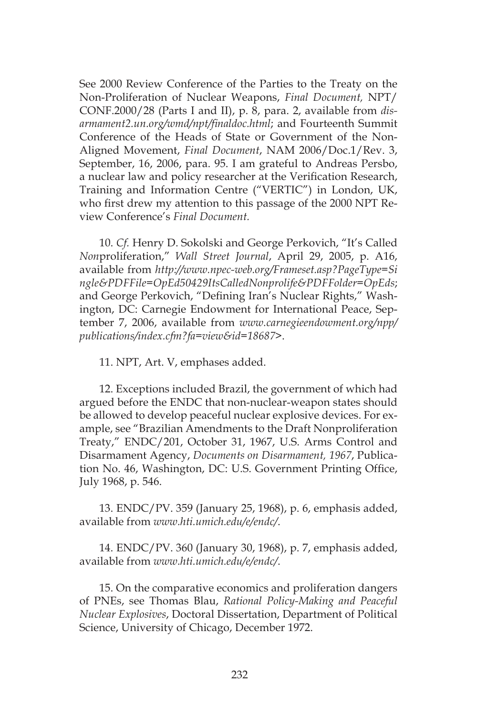See 2000 Review Conference of the Parties to the Treaty on the Non-Proliferation of Nuclear Weapons, *Final Document,* NPT/ CONF.2000/28 (Parts I and II), p. 8, para. 2, available from *disarmament2.un.org/wmd/npt/finaldoc.html*; and Fourteenth Summit Conference of the Heads of State or Government of the Non-Aligned Movement, *Final Document*, NAM 2006/Doc.1/Rev. 3, September, 16, 2006, para. 95. I am grateful to Andreas Persbo, a nuclear law and policy researcher at the Verification Research, Training and Information Centre ("VERTIC") in London, UK, who first drew my attention to this passage of the 2000 NPT Review Conference's *Final Document.*

10. *Cf.* Henry D. Sokolski and George Perkovich, "It's Called *Non*proliferation," *Wall Street Journal*, April 29, 2005, p. A16, available from *http://www.npec-web.org/Frameset.asp?PageType=Si ngle&PDFFile=OpEd50429ItsCalledNonprolife&PDFFolder=OpEds*; and George Perkovich, "Defining Iran's Nuclear Rights," Washington, DC: Carnegie Endowment for International Peace, September 7, 2006, available from *www.carnegieendowment.org/npp/ publications/index.cfm?fa=view&id=18687>*.

11. NPT, Art. V, emphases added.

12. Exceptions included Brazil, the government of which had argued before the ENDC that non-nuclear-weapon states should be allowed to develop peaceful nuclear explosive devices. For example, see "Brazilian Amendments to the Draft Nonproliferation Treaty," ENDC/201, October 31, 1967, U.S. Arms Control and Disarmament Agency, *Documents on Disarmament, 1967*, Publication No. 46, Washington, DC: U.S. Government Printing Office, July 1968, p. 546.

13. ENDC/PV. 359 (January 25, 1968), p. 6, emphasis added, available from *www.hti.umich.edu/e/endc/*.

14. ENDC/PV. 360 (January 30, 1968), p. 7, emphasis added, available from *www.hti.umich.edu/e/endc/*.

15. On the comparative economics and proliferation dangers of PNEs, see Thomas Blau, *Rational Policy-Making and Peaceful Nuclear Explosives*, Doctoral Dissertation, Department of Political Science, University of Chicago, December 1972.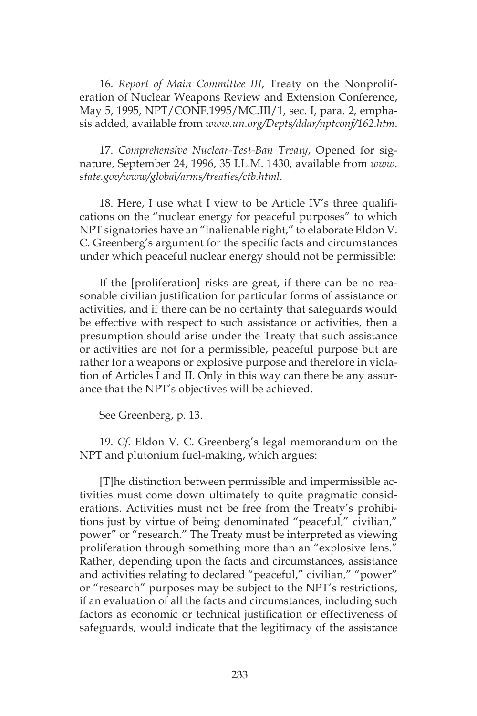16. *Report of Main Committee III*, Treaty on the Nonproliferation of Nuclear Weapons Review and Extension Conference, May 5, 1995, NPT/CONF.1995/MC.III/1, sec. I, para. 2, emphasis added, available from *www.un.org/Depts/ddar/nptconf/162.htm*.

17. *Comprehensive Nuclear-Test-Ban Treaty*, Opened for signature, September 24, 1996, 35 I.L.M. 1430, available from *www. state.gov/www/global/arms/treaties/ctb.html*.

18. Here, I use what I view to be Article IV's three qualifications on the "nuclear energy for peaceful purposes" to which NPT signatories have an "inalienable right," to elaborate Eldon V. C. Greenberg's argument for the specific facts and circumstances under which peaceful nuclear energy should not be permissible:

If the [proliferation] risks are great, if there can be no reasonable civilian justification for particular forms of assistance or activities, and if there can be no certainty that safeguards would be effective with respect to such assistance or activities, then a presumption should arise under the Treaty that such assistance or activities are not for a permissible, peaceful purpose but are rather for a weapons or explosive purpose and therefore in violation of Articles I and II. Only in this way can there be any assurance that the NPT's objectives will be achieved.

See Greenberg, p. 13.

19. *Cf.* Eldon V. C. Greenberg's legal memorandum on the NPT and plutonium fuel-making, which argues:

[T]he distinction between permissible and impermissible activities must come down ultimately to quite pragmatic considerations. Activities must not be free from the Treaty's prohibitions just by virtue of being denominated "peaceful," civilian," power" or "research." The Treaty must be interpreted as viewing proliferation through something more than an "explosive lens." Rather, depending upon the facts and circumstances, assistance and activities relating to declared "peaceful," civilian," "power" or "research" purposes may be subject to the NPT's restrictions, if an evaluation of all the facts and circumstances, including such factors as economic or technical justification or effectiveness of safeguards, would indicate that the legitimacy of the assistance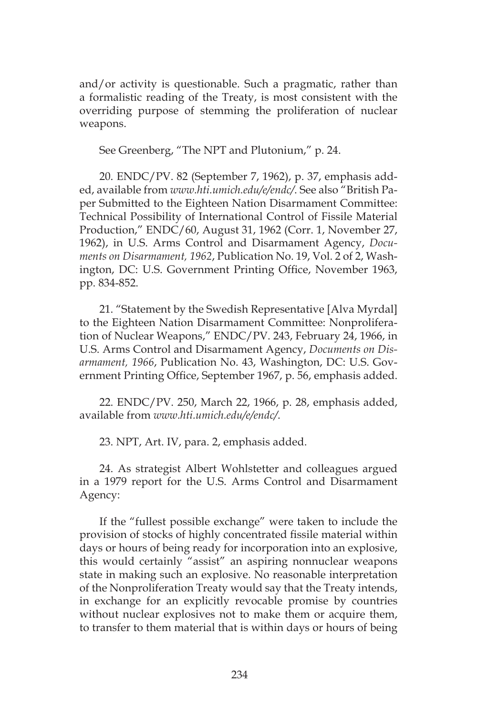and/or activity is questionable. Such a pragmatic, rather than a formalistic reading of the Treaty, is most consistent with the overriding purpose of stemming the proliferation of nuclear weapons.

See Greenberg, "The NPT and Plutonium," p. 24.

20. ENDC/PV. 82 (September 7, 1962), p. 37, emphasis added, available from *www.hti.umich.edu/e/endc/*. See also "British Paper Submitted to the Eighteen Nation Disarmament Committee: Technical Possibility of International Control of Fissile Material Production," ENDC/60, August 31, 1962 (Corr. 1, November 27, 1962), in U.S. Arms Control and Disarmament Agency, *Documents on Disarmament, 1962*, Publication No. 19, Vol. 2 of 2, Washington, DC: U.S. Government Printing Office, November 1963, pp. 834-852.

21. "Statement by the Swedish Representative [Alva Myrdal] to the Eighteen Nation Disarmament Committee: Nonproliferation of Nuclear Weapons," ENDC/PV. 243, February 24, 1966, in U.S. Arms Control and Disarmament Agency, *Documents on Disarmament, 1966*, Publication No. 43, Washington, DC: U.S. Government Printing Office, September 1967, p. 56, emphasis added.

22. ENDC/PV. 250, March 22, 1966, p. 28, emphasis added, available from *www.hti.umich.edu/e/endc/*.

23. NPT, Art. IV, para. 2, emphasis added.

24. As strategist Albert Wohlstetter and colleagues argued in a 1979 report for the U.S. Arms Control and Disarmament Agency:

If the "fullest possible exchange" were taken to include the provision of stocks of highly concentrated fissile material within days or hours of being ready for incorporation into an explosive, this would certainly "assist" an aspiring nonnuclear weapons state in making such an explosive. No reasonable interpretation of the Nonproliferation Treaty would say that the Treaty intends, in exchange for an explicitly revocable promise by countries without nuclear explosives not to make them or acquire them, to transfer to them material that is within days or hours of being